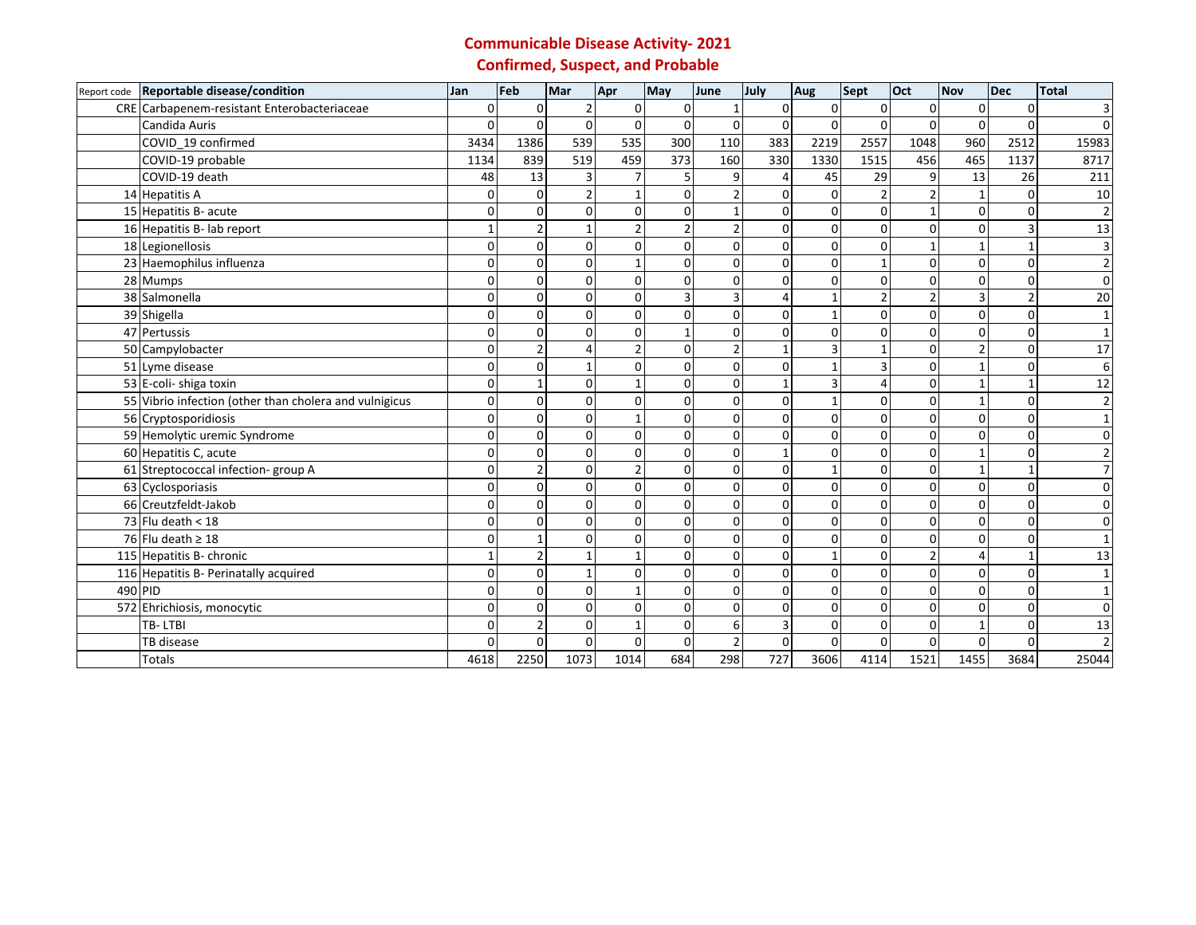## **Communicable Disease Activity- 2021 Confirmed, Suspect, and Probable**

| Report code | Reportable disease/condition                           | Jan      | Feb      | Mar                     | Apr            | May            | June           | July     | Aug          | <b>Sept</b>    | Oct            | <b>Nov</b>    | <b>Dec</b>     | <b>Total</b>   |
|-------------|--------------------------------------------------------|----------|----------|-------------------------|----------------|----------------|----------------|----------|--------------|----------------|----------------|---------------|----------------|----------------|
|             | CRE Carbapenem-resistant Enterobacteriaceae            | $\Omega$ | $\Omega$ | $\overline{2}$          | $\mathbf{0}$   | $\Omega$       |                | 0        | 0            | $\Omega$       | $\Omega$       | $\Omega$      | $\Omega$       | 3              |
|             | Candida Auris                                          | O        | $\Omega$ | $\Omega$                | $\Omega$       | $\Omega$       | $\Omega$       | $\Omega$ | $\Omega$     | $\Omega$       | $\Omega$       | $\Omega$      | $\Omega$       | $\Omega$       |
|             | COVID_19 confirmed                                     | 3434     | 1386     | 539                     | 535            | 300            | 110            | 383      | 2219         | 2557           | 1048           | 960           | 2512           | 15983          |
|             | COVID-19 probable                                      | 1134     | 839      | 519                     | 459            | 373            | 160            | 330      | 1330         | 1515           | 456            | 465           | 1137           | 8717           |
|             | COVID-19 death                                         | 48       | 13       | $\overline{\mathsf{3}}$ | $\overline{7}$ | 5              | 9              | 4        | 45           | 29             | 9              | 13            | 26             | 211            |
|             | 14 Hepatitis A                                         | $\Omega$ | $\Omega$ | $\overline{2}$          | $\mathbf{1}$   | $\Omega$       | $\mathfrak{p}$ | $\Omega$ | $\mathbf 0$  | $\overline{2}$ | $\overline{2}$ | $\mathbf{1}$  | $\Omega$       | 10             |
|             | 15 Hepatitis B- acute                                  | n        |          | $\Omega$                | $\mathbf 0$    | 0              |                | 0        | 0            | $\mathbf 0$    | $\mathbf{1}$   | $\mathbf 0$   | $\Omega$       | $\overline{2}$ |
|             | 16 Hepatitis B- lab report                             |          |          |                         | $\overline{2}$ | $\overline{2}$ | $\overline{2}$ | 0        | 0            | $\mathbf 0$    | $\mathbf{0}$   | $\Omega$      | $\overline{3}$ | 13             |
|             | 18 Legionellosis                                       | O        |          | $\Omega$                | $\mathbf{O}$   | 0              | 0              | 0        | 0            | $\mathbf 0$    | $\mathbf{1}$   | 1             |                | 3              |
|             | 23 Haemophilus influenza                               | n        |          | $\Omega$                | $\mathbf{1}$   | $\Omega$       | 0              | 0        | 0            | $\mathbf{1}$   | $\mathbf 0$    | 0             | $\Omega$       | $\overline{2}$ |
|             | 28 Mumps                                               | O        | $\Omega$ | $\Omega$                | $\mathbf 0$    | $\Omega$       | 0              | $\Omega$ | 0            | $\mathbf 0$    | $\mathbf{0}$   | $\Omega$      | $\Omega$       | $\mathbf 0$    |
|             | 38 Salmonella                                          | O        |          | $\Omega$                | 0              | 3              | 3              |          |              | $\overline{2}$ | $\overline{2}$ | 3             |                | 20             |
|             | 39 Shigella                                            |          |          | $\Omega$                | $\Omega$       | 0              | 0              | 0        | 1            | $\overline{0}$ | $\mathbf{0}$   | $\Omega$      | $\Omega$       |                |
|             | 47 Pertussis                                           | O        |          | $\Omega$                | $\mathbf{0}$   |                | 0              | 0        | 0            | 0              | $\Omega$       | $\Omega$      | $\Omega$       |                |
|             | 50 Campylobacter                                       | O        |          |                         | $\overline{2}$ | 0              |                |          | 3            | $\mathbf{1}$   | $\Omega$       | $\mathcal{P}$ | $\Omega$       | 17             |
|             | 51 Lyme disease                                        | O        |          |                         | 0              | $\Omega$       | 0              | 0        | 1            | 3              | $\mathbf{0}$   | $\mathbf{1}$  | $\Omega$       | 6              |
|             | 53 E-coli- shiga toxin                                 | n        |          | $\Omega$                | $\mathbf{1}$   | $\Omega$       | 0              |          | 3            | $\overline{4}$ | $\Omega$       | 1             |                | 12             |
|             | 55 Vibrio infection (other than cholera and vulnigicus | O        |          | $\Omega$                | 0              | $\Omega$       | $\Omega$       | $\Omega$ | $\mathbf{1}$ | $\mathbf 0$    | $\mathbf{0}$   | $\mathbf{1}$  | $\Omega$       | $\overline{2}$ |
|             | 56 Cryptosporidiosis                                   | O        |          | $\Omega$                | $\mathbf{1}$   | 0              | 0              | 0        | $\Omega$     | $\mathbf 0$    | $\mathbf{0}$   | $\Omega$      | $\Omega$       |                |
|             | 59 Hemolytic uremic Syndrome                           | O        |          | $\Omega$                | $\mathbf 0$    | 0              | 0              | 0        | 0            | $\mathbf 0$    | $\mathbf 0$    | 0             | $\Omega$       | $\Omega$       |
|             | 60 Hepatitis C, acute                                  | O        |          | $\Omega$                | $\Omega$       | $\Omega$       | 0              |          | 0            | $\mathbf 0$    | $\Omega$       | $\mathbf{1}$  | $\Omega$       | $\overline{2}$ |
|             | 61 Streptococcal infection- group A                    | O        |          | $\Omega$                | $\overline{2}$ | $\Omega$       | $\Omega$       | 0        | $\mathbf{1}$ | $\mathbf 0$    | $\mathbf{0}$   | $\mathbf{1}$  |                | $\overline{7}$ |
|             | 63 Cyclosporiasis                                      | n        |          | $\Omega$                | $\Omega$       | $\Omega$       | 0              | U        | $\Omega$     | $\Omega$       | $\mathbf{0}$   | $\Omega$      | $\Omega$       | $\Omega$       |
|             | 66 Creutzfeldt-Jakob                                   |          |          | $\Omega$                | $\mathbf{0}$   | 0              | 0              | 0        | $\Omega$     | 0              | $\Omega$       | $\Omega$      | $\Omega$       |                |
|             | 73 Flu death $<$ 18                                    | O        |          | $\Omega$                | $\Omega$       | 0              | 0              | 0        | 0            | $\mathbf 0$    | 0              | $\Omega$      | $\Omega$       | $\Omega$       |
|             | 76 Flu death $\geq 18$                                 |          |          | $\Omega$                | 0              | $\Omega$       | 0              | U        | $\mathbf 0$  | $\mathbf 0$    | $\Omega$       | $\Omega$      | $\Omega$       |                |
|             | 115 Hepatitis B- chronic                               |          |          |                         | $\mathbf{1}$   | 0              | 0              | 0        | 1            | $\mathbf 0$    | $\overline{2}$ | 4             |                | 13             |
|             | 116 Hepatitis B- Perinatally acquired                  | O        |          |                         | $\mathbf{O}$   | $\Omega$       | 0              | $\Omega$ | 0            | $\mathbf 0$    | $\Omega$       | $\Omega$      | $\Omega$       | $\mathbf{1}$   |
| 490 PID     |                                                        | n        |          | $\Omega$                | $\mathbf{1}$   | $\Omega$       | 0              | O        | $\Omega$     | $\mathbf{0}$   | $\mathbf{0}$   | $\Omega$      | $\Omega$       |                |
|             | 572 Ehrichiosis, monocytic                             | O        |          | $\Omega$                | $\mathbf 0$    | 0              | 0              | 0        | 0            | $\mathbf 0$    | $\mathbf{0}$   | $\mathbf 0$   | $\mathbf 0$    | 0              |
|             | TB-LTBI                                                | O        |          | $\Omega$                | $\mathbf{1}$   | $\Omega$       | 6              | 3        | 0            | $\mathbf 0$    | $\Omega$       | 1             | $\Omega$       | 13             |
|             | TB disease                                             |          | 0        | $\Omega$                | 0              | 0              | 2              | 0        | 0            | $\Omega$       | $\Omega$       | 0             | $\Omega$       |                |
|             | <b>Totals</b>                                          | 4618     | 2250     | 1073                    | 1014           | 684            | 298            | 727      | 3606         | 4114           | 1521           | 1455          | 3684           | 25044          |